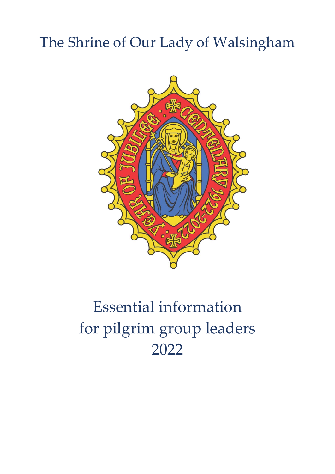# The Shrine of Our Lady of Walsingham



# Essential information for pilgrim group leaders 2022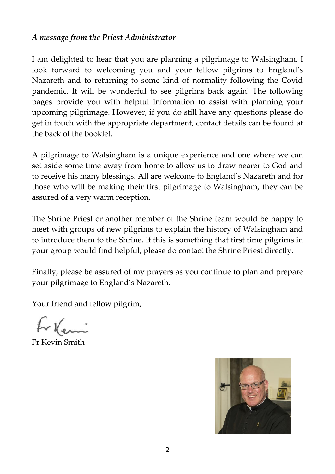#### *A message from the Priest Administrator*

I am delighted to hear that you are planning a pilgrimage to Walsingham. I look forward to welcoming you and your fellow pilgrims to England's Nazareth and to returning to some kind of normality following the Covid pandemic. It will be wonderful to see pilgrims back again! The following pages provide you with helpful information to assist with planning your upcoming pilgrimage. However, if you do still have any questions please do get in touch with the appropriate department, contact details can be found at the back of the booklet.

A pilgrimage to Walsingham is a unique experience and one where we can set aside some time away from home to allow us to draw nearer to God and to receive his many blessings. All are welcome to England's Nazareth and for those who will be making their first pilgrimage to Walsingham, they can be assured of a very warm reception.

The Shrine Priest or another member of the Shrine team would be happy to meet with groups of new pilgrims to explain the history of Walsingham and to introduce them to the Shrine. If this is something that first time pilgrims in your group would find helpful, please do contact the Shrine Priest directly.

Finally, please be assured of my prayers as you continue to plan and prepare your pilgrimage to England's Nazareth.

Your friend and fellow pilgrim,

Fr Kevin Smith

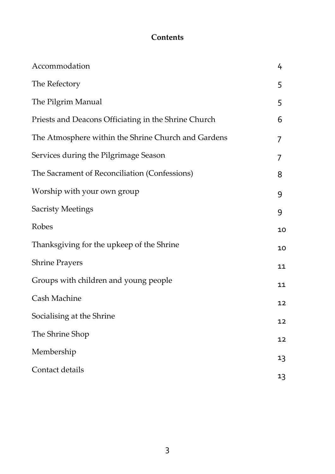# **Contents**

| Accommodation                                        | 4  |
|------------------------------------------------------|----|
| The Refectory                                        | 5  |
| The Pilgrim Manual                                   | 5  |
| Priests and Deacons Officiating in the Shrine Church | 6  |
| The Atmosphere within the Shrine Church and Gardens  | 7  |
| Services during the Pilgrimage Season                | 7  |
| The Sacrament of Reconciliation (Confessions)        | 8  |
| Worship with your own group                          | 9  |
| <b>Sacristy Meetings</b>                             | 9  |
| Robes                                                | 10 |
| Thanksgiving for the upkeep of the Shrine            | 10 |
| <b>Shrine Prayers</b>                                | 11 |
| Groups with children and young people                | 11 |
| Cash Machine                                         | 12 |
| Socialising at the Shrine                            | 12 |
| The Shrine Shop                                      | 12 |
| Membership                                           | 13 |
| Contact details                                      | 13 |
|                                                      |    |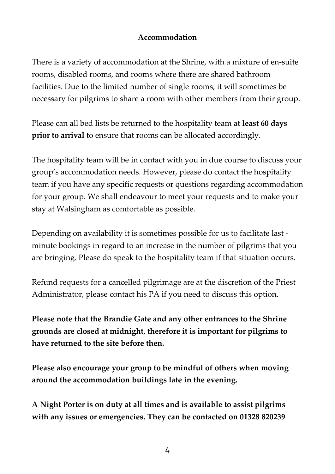#### **Accommodation**

There is a variety of accommodation at the Shrine, with a mixture of en-suite rooms, disabled rooms, and rooms where there are shared bathroom facilities. Due to the limited number of single rooms, it will sometimes be necessary for pilgrims to share a room with other members from their group.

Please can all bed lists be returned to the hospitality team at **least 60 days prior to arrival** to ensure that rooms can be allocated accordingly.

The hospitality team will be in contact with you in due course to discuss your group's accommodation needs. However, please do contact the hospitality team if you have any specific requests or questions regarding accommodation for your group. We shall endeavour to meet your requests and to make your stay at Walsingham as comfortable as possible.

Depending on availability it is sometimes possible for us to facilitate last minute bookings in regard to an increase in the number of pilgrims that you are bringing. Please do speak to the hospitality team if that situation occurs.

Refund requests for a cancelled pilgrimage are at the discretion of the Priest Administrator, please contact his PA if you need to discuss this option.

**Please note that the Brandie Gate and any other entrances to the Shrine grounds are closed at midnight, therefore it is important for pilgrims to have returned to the site before then.**

**Please also encourage your group to be mindful of others when moving around the accommodation buildings late in the evening.**

**A Night Porter is on duty at all times and is available to assist pilgrims with any issues or emergencies. They can be contacted on 01328 820239**

4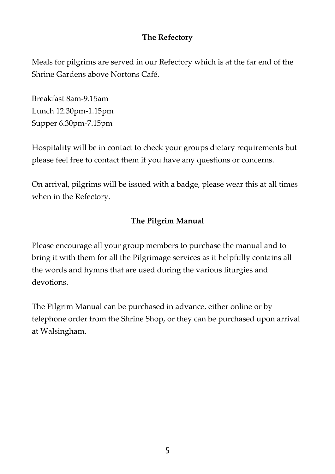#### **The Refectory**

Meals for pilgrims are served in our Refectory which is at the far end of the Shrine Gardens above Nortons Café.

Breakfast 8am-9.15am Lunch 12.30pm-1.15pm Supper 6.30pm-7.15pm

Hospitality will be in contact to check your groups dietary requirements but please feel free to contact them if you have any questions or concerns.

On arrival, pilgrims will be issued with a badge, please wear this at all times when in the Refectory.

# **The Pilgrim Manual**

Please encourage all your group members to purchase the manual and to bring it with them for all the Pilgrimage services as it helpfully contains all the words and hymns that are used during the various liturgies and devotions.

The Pilgrim Manual can be purchased in advance, either online or by telephone order from the Shrine Shop, or they can be purchased upon arrival at Walsingham.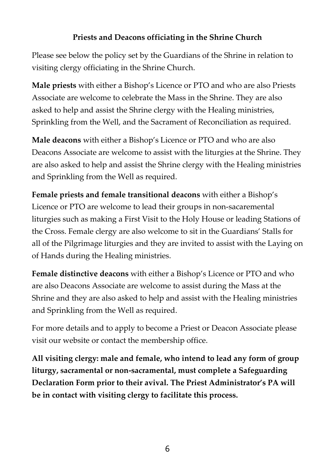# **Priests and Deacons officiating in the Shrine Church**

Please see below the policy set by the Guardians of the Shrine in relation to visiting clergy officiating in the Shrine Church.

**Male priests** with either a Bishop's Licence or PTO and who are also Priests Associate are welcome to celebrate the Mass in the Shrine. They are also asked to help and assist the Shrine clergy with the Healing ministries, Sprinkling from the Well, and the Sacrament of Reconciliation as required.

**Male deacons** with either a Bishop's Licence or PTO and who are also Deacons Associate are welcome to assist with the liturgies at the Shrine. They are also asked to help and assist the Shrine clergy with the Healing ministries and Sprinkling from the Well as required.

**Female priests and female transitional deacons** with either a Bishop's Licence or PTO are welcome to lead their groups in non-sacaremental liturgies such as making a First Visit to the Holy House or leading Stations of the Cross. Female clergy are also welcome to sit in the Guardians' Stalls for all of the Pilgrimage liturgies and they are invited to assist with the Laying on of Hands during the Healing ministries.

**Female distinctive deacons** with either a Bishop's Licence or PTO and who are also Deacons Associate are welcome to assist during the Mass at the Shrine and they are also asked to help and assist with the Healing ministries and Sprinkling from the Well as required.

For more details and to apply to become a Priest or Deacon Associate please visit our website or contact the membership office.

**All visiting clergy: male and female, who intend to lead any form of group liturgy, sacramental or non-sacramental, must complete a Safeguarding Declaration Form prior to their avival. The Priest Administrator's PA will be in contact with visiting clergy to facilitate this process.**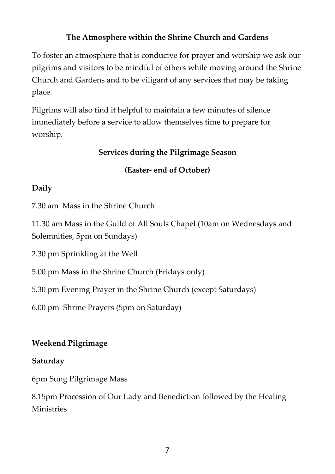#### **The Atmosphere within the Shrine Church and Gardens**

To foster an atmosphere that is conducive for prayer and worship we ask our pilgrims and visitors to be mindful of others while moving around the Shrine Church and Gardens and to be viligant of any services that may be taking place.

Pilgrims will also find it helpful to maintain a few minutes of silence immediately before a service to allow themselves time to prepare for worship.

#### **Services during the Pilgrimage Season**

#### **(Easter- end of October)**

#### **Daily**

7.30 am Mass in the Shrine Church

11.30 am Mass in the Guild of All Souls Chapel (10am on Wednesdays and Solemnities, 5pm on Sundays)

2.30 pm Sprinkling at the Well

5.00 pm Mass in the Shrine Church (Fridays only)

5.30 pm Evening Prayer in the Shrine Church (except Saturdays)

6.00 pm Shrine Prayers (5pm on Saturday)

# **Weekend Pilgrimage**

#### **Saturday**

6pm Sung Pilgrimage Mass

8.15pm Procession of Our Lady and Benediction followed by the Healing **Ministries**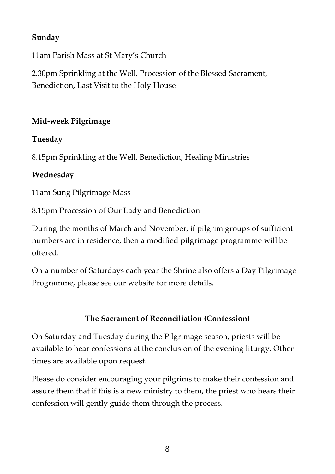#### **Sunday**

11am Parish Mass at St Mary's Church

2.30pm Sprinkling at the Well, Procession of the Blessed Sacrament, Benediction, Last Visit to the Holy House

#### **Mid-week Pilgrimage**

#### **Tuesday**

8.15pm Sprinkling at the Well, Benediction, Healing Ministries

#### **Wednesday**

11am Sung Pilgrimage Mass

8.15pm Procession of Our Lady and Benediction

During the months of March and November, if pilgrim groups of sufficient numbers are in residence, then a modified pilgrimage programme will be offered.

On a number of Saturdays each year the Shrine also offers a Day Pilgrimage Programme, please see our website for more details.

#### **The Sacrament of Reconciliation (Confession)**

On Saturday and Tuesday during the Pilgrimage season, priests will be available to hear confessions at the conclusion of the evening liturgy. Other times are available upon request.

Please do consider encouraging your pilgrims to make their confession and assure them that if this is a new ministry to them, the priest who hears their confession will gently guide them through the process.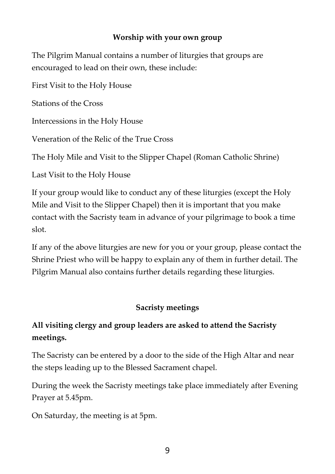#### **Worship with your own group**

The Pilgrim Manual contains a number of liturgies that groups are encouraged to lead on their own, these include:

First Visit to the Holy House

Stations of the Cross

Intercessions in the Holy House

Veneration of the Relic of the True Cross

The Holy Mile and Visit to the Slipper Chapel (Roman Catholic Shrine)

Last Visit to the Holy House

If your group would like to conduct any of these liturgies (except the Holy Mile and Visit to the Slipper Chapel) then it is important that you make contact with the Sacristy team in advance of your pilgrimage to book a time slot.

If any of the above liturgies are new for you or your group, please contact the Shrine Priest who will be happy to explain any of them in further detail. The Pilgrim Manual also contains further details regarding these liturgies.

#### **Sacristy meetings**

# **All visiting clergy and group leaders are asked to attend the Sacristy meetings.**

The Sacristy can be entered by a door to the side of the High Altar and near the steps leading up to the Blessed Sacrament chapel.

During the week the Sacristy meetings take place immediately after Evening Prayer at 5.45pm.

On Saturday, the meeting is at 5pm.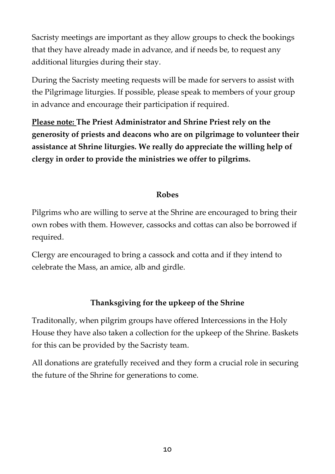Sacristy meetings are important as they allow groups to check the bookings that they have already made in advance, and if needs be, to request any additional liturgies during their stay.

During the Sacristy meeting requests will be made for servers to assist with the Pilgrimage liturgies. If possible, please speak to members of your group in advance and encourage their participation if required.

**Please note: The Priest Administrator and Shrine Priest rely on the generosity of priests and deacons who are on pilgrimage to volunteer their assistance at Shrine liturgies. We really do appreciate the willing help of clergy in order to provide the ministries we offer to pilgrims.**

#### **Robes**

Pilgrims who are willing to serve at the Shrine are encouraged to bring their own robes with them. However, cassocks and cottas can also be borrowed if required.

Clergy are encouraged to bring a cassock and cotta and if they intend to celebrate the Mass, an amice, alb and girdle.

# **Thanksgiving for the upkeep of the Shrine**

Traditonally, when pilgrim groups have offered Intercessions in the Holy House they have also taken a collection for the upkeep of the Shrine. Baskets for this can be provided by the Sacristy team.

All donations are gratefully received and they form a crucial role in securing the future of the Shrine for generations to come.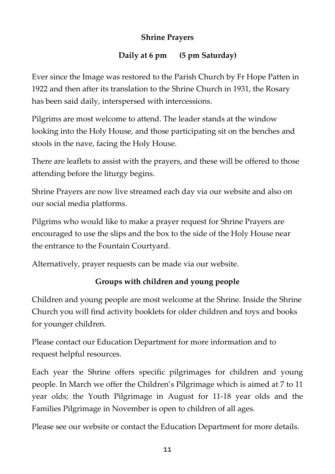#### **Shrine Prayers**

# **Daily at 6 pm (5 pm Saturday)**

Ever since the Image was restored to the Parish Church by Fr Hope Patten in 1922 and then after its translation to the Shrine Church in 1931, the Rosary has been said daily, interspersed with intercessions.

Pilgrims are most welcome to attend. The leader stands at the window looking into the Holy House, and those participating sit on the benches and stools in the nave, facing the Holy House.

There are leaflets to assist with the prayers, and these will be offered to those attending before the liturgy begins.

Shrine Prayers are now live streamed each day via our website and also on our social media platforms.

Pilgrims who would like to make a prayer request for Shrine Prayers are encouraged to use the slips and the box to the side of the Holy House near the entrance to the Fountain Courtyard.

Alternatively, prayer requests can be made via our website.

# **Groups with children and young people**

Children and young people are most welcome at the Shrine. Inside the Shrine Church you will find activity booklets for older children and toys and books for younger children.

Please contact our Education Department for more information and to request helpful resources.

Each year the Shrine offers specific pilgrimages for children and young people. In March we offer the Children's Pilgrimage which is aimed at 7 to 11 year olds; the Youth Pilgrimage in August for 11-18 year olds and the Families Pilgrimage in November is open to children of all ages.

Please see our website or contact the Education Department for more details.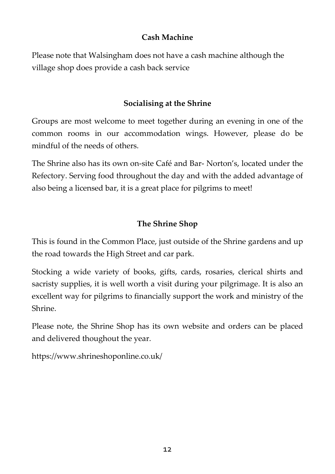#### **Cash Machine**

Please note that Walsingham does not have a cash machine although the village shop does provide a cash back service

# **Socialising at the Shrine**

Groups are most welcome to meet together during an evening in one of the common rooms in our accommodation wings. However, please do be mindful of the needs of others.

The Shrine also has its own on-site Café and Bar- Norton's, located under the Refectory. Serving food throughout the day and with the added advantage of also being a licensed bar, it is a great place for pilgrims to meet!

# **The Shrine Shop**

This is found in the Common Place, just outside of the Shrine gardens and up the road towards the High Street and car park.

Stocking a wide variety of books, gifts, cards, rosaries, clerical shirts and sacristy supplies, it is well worth a visit during your pilgrimage. It is also an excellent way for pilgrims to financially support the work and ministry of the Shrine.

Please note, the Shrine Shop has its own website and orders can be placed and delivered thoughout the year.

https://www.shrineshoponline.co.uk/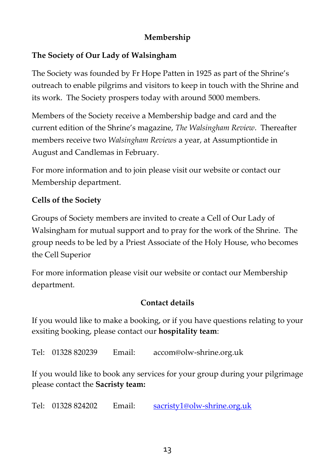#### **Membership**

#### **The Society of Our Lady of Walsingham**

The Society was founded by Fr Hope Patten in 1925 as part of the Shrine's outreach to enable pilgrims and visitors to keep in touch with the Shrine and its work. The Society prospers today with around 5000 members.

Members of the Society receive a Membership badge and card and the current edition of the Shrine's magazine, *The Walsingham Review*. Thereafter members receive two *Walsingham Reviews* a year, at Assumptiontide in August and Candlemas in February.

For more information and to join please visit our website or contact our Membership department.

#### **Cells of the Society**

Groups of Society members are invited to create a Cell of Our Lady of Walsingham for mutual support and to pray for the work of the Shrine. The group needs to be led by a Priest Associate of the Holy House, who becomes the Cell Superior

For more information please visit our website or contact our Membership department.

#### **Contact details**

If you would like to make a booking, or if you have questions relating to your exsiting booking, please contact our **hospitality team**:

Tel: 01328 820239 Email: accom@olw-shrine.org.uk

If you would like to book any services for your group during your pilgrimage please contact the **Sacristy team:**

Tel: 01328 824202 Email: [sacristy1@olw-shrine.org.uk](mailto:sacristy1@olw-shrine.org.uk)